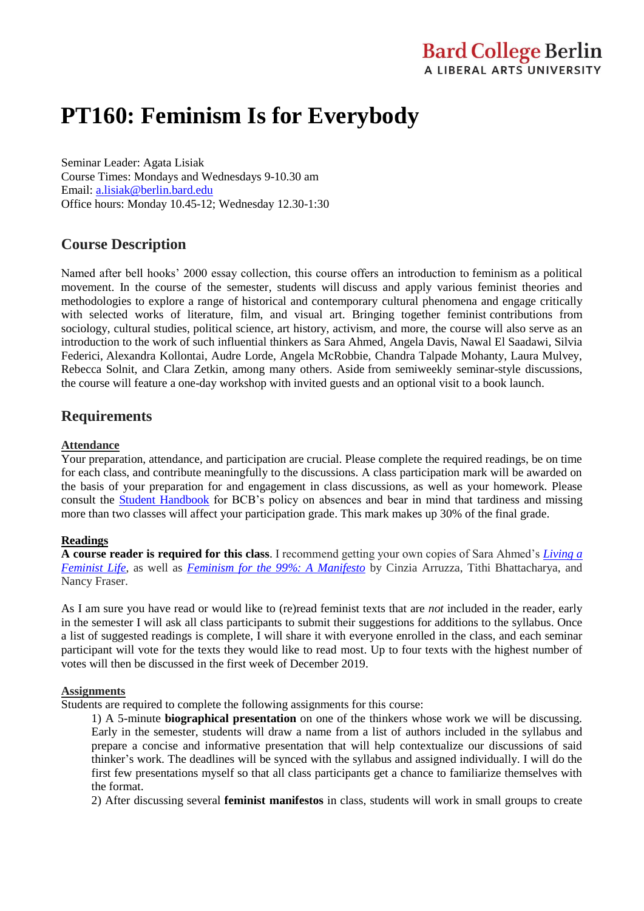# **PT160: Feminism Is for Everybody**

Seminar Leader: Agata Lisiak Course Times: Mondays and Wednesdays 9-10.30 am Email: [a.lisiak@berlin.bard.edu](mailto:a.lisiak@berlin.bard.edu) Office hours: Monday 10.45-12; Wednesday 12.30-1:30

# **Course Description**

Named after bell hooks' 2000 essay collection, this course offers an introduction to feminism as a political movement. In the course of the semester, students will discuss and apply various feminist theories and methodologies to explore a range of historical and contemporary cultural phenomena and engage critically with selected works of literature, film, and visual art. Bringing together feminist contributions from sociology, cultural studies, political science, art history, activism, and more, the course will also serve as an introduction to the work of such influential thinkers as Sara Ahmed, Angela Davis, Nawal El Saadawi, Silvia Federici, Alexandra Kollontai, Audre Lorde, Angela McRobbie, Chandra Talpade Mohanty, Laura Mulvey, Rebecca Solnit, and Clara Zetkin, among many others. Aside from semiweekly seminar-style discussions, the course will feature a one-day workshop with invited guests and an optional visit to a book launch.

# **Requirements**

#### **Attendance**

Your preparation, attendance, and participation are crucial. Please complete the required readings, be on time for each class, and contribute meaningfully to the discussions. A class participation mark will be awarded on the basis of your preparation for and engagement in class discussions, as well as your homework. Please consult the [Student Handbook](http://www.berlin.bard.edu/fileadmin/common/Student_Handbooks/StudentHandbook2017_2018.pdf) for BCB's policy on absences and bear in mind that tardiness and missing more than two classes will affect your participation grade. This mark makes up 30% of the final grade.

#### **Readings**

**A course reader is required for this class**. I recommend getting your own copies of Sara Ahmed's *[Living a](https://www.dukeupress.edu/living-a-feminist-life)  [Feminist Life](https://www.dukeupress.edu/living-a-feminist-life)*, as well as *[Feminism for the 99%: A Manifesto](https://www.versobooks.com/books/2924-feminism-for-the-99)* by Cinzia Arruzza, Tithi Bhattacharya, and Nancy Fraser.

As I am sure you have read or would like to (re)read feminist texts that are *not* included in the reader, early in the semester I will ask all class participants to submit their suggestions for additions to the syllabus. Once a list of suggested readings is complete, I will share it with everyone enrolled in the class, and each seminar participant will vote for the texts they would like to read most. Up to four texts with the highest number of votes will then be discussed in the first week of December 2019.

#### **Assignments**

Students are required to complete the following assignments for this course:

1) A 5-minute **biographical presentation** on one of the thinkers whose work we will be discussing. Early in the semester, students will draw a name from a list of authors included in the syllabus and prepare a concise and informative presentation that will help contextualize our discussions of said thinker's work. The deadlines will be synced with the syllabus and assigned individually. I will do the first few presentations myself so that all class participants get a chance to familiarize themselves with the format.

2) After discussing several **feminist manifestos** in class, students will work in small groups to create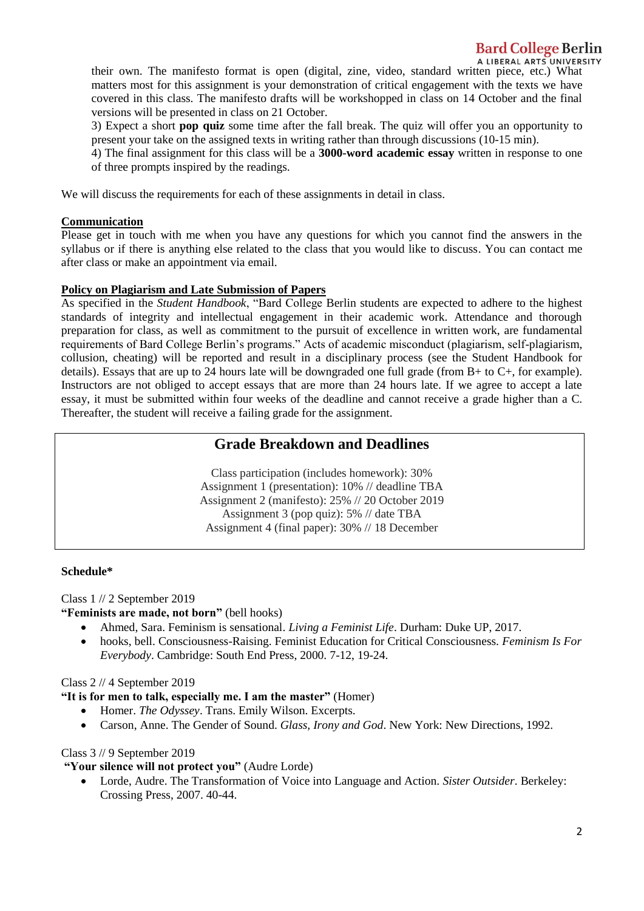# **Bard College Berlin**

A LIBERAL ARTS UNIVERSITY

their own. The manifesto format is open (digital, zine, video, standard written piece, etc.) What matters most for this assignment is your demonstration of critical engagement with the texts we have covered in this class. The manifesto drafts will be workshopped in class on 14 October and the final versions will be presented in class on 21 October.

3) Expect a short **pop quiz** some time after the fall break. The quiz will offer you an opportunity to present your take on the assigned texts in writing rather than through discussions (10-15 min).

4) The final assignment for this class will be a **3000-word academic essay** written in response to one of three prompts inspired by the readings.

We will discuss the requirements for each of these assignments in detail in class.

#### **Communication**

Please get in touch with me when you have any questions for which you cannot find the answers in the syllabus or if there is anything else related to the class that you would like to discuss. You can contact me after class or make an appointment via email.

#### **Policy on Plagiarism and Late Submission of Papers**

As specified in the *Student Handbook*, "Bard College Berlin students are expected to adhere to the highest standards of integrity and intellectual engagement in their academic work. Attendance and thorough preparation for class, as well as commitment to the pursuit of excellence in written work, are fundamental requirements of Bard College Berlin's programs." Acts of academic misconduct (plagiarism, self-plagiarism, collusion, cheating) will be reported and result in a disciplinary process (see the Student Handbook for details). Essays that are up to 24 hours late will be downgraded one full grade (from B+ to C+, for example). Instructors are not obliged to accept essays that are more than 24 hours late. If we agree to accept a late essay, it must be submitted within four weeks of the deadline and cannot receive a grade higher than a C. Thereafter, the student will receive a failing grade for the assignment.

# **Grade Breakdown and Deadlines**

Class participation (includes homework): 30% Assignment 1 (presentation): 10% // deadline TBA Assignment 2 (manifesto): 25% // 20 October 2019 Assignment 3 (pop quiz): 5% // date TBA Assignment 4 (final paper): 30% // 18 December

#### **Schedule\***

Class 1 // 2 September 2019

**"Feminists are made, not born"** (bell hooks)

- Ahmed, Sara. Feminism is sensational. *Living a Feminist Life*. Durham: Duke UP, 2017.
- hooks, bell. Consciousness-Raising. Feminist Education for Critical Consciousness. *Feminism Is For Everybody*. Cambridge: South End Press, 2000. 7-12, 19-24.

Class 2 // 4 September 2019

**"It is for men to talk, especially me. I am the master"** (Homer)

- Homer. *The Odyssey*. Trans. Emily Wilson. Excerpts.
- Carson, Anne. The Gender of Sound. *Glass, Irony and God*. New York: New Directions, 1992.

#### Class 3 // 9 September 2019

**"Your silence will not protect you"** (Audre Lorde)

 Lorde, Audre. The Transformation of Voice into Language and Action. *Sister Outsider*. Berkeley: Crossing Press, 2007. 40-44.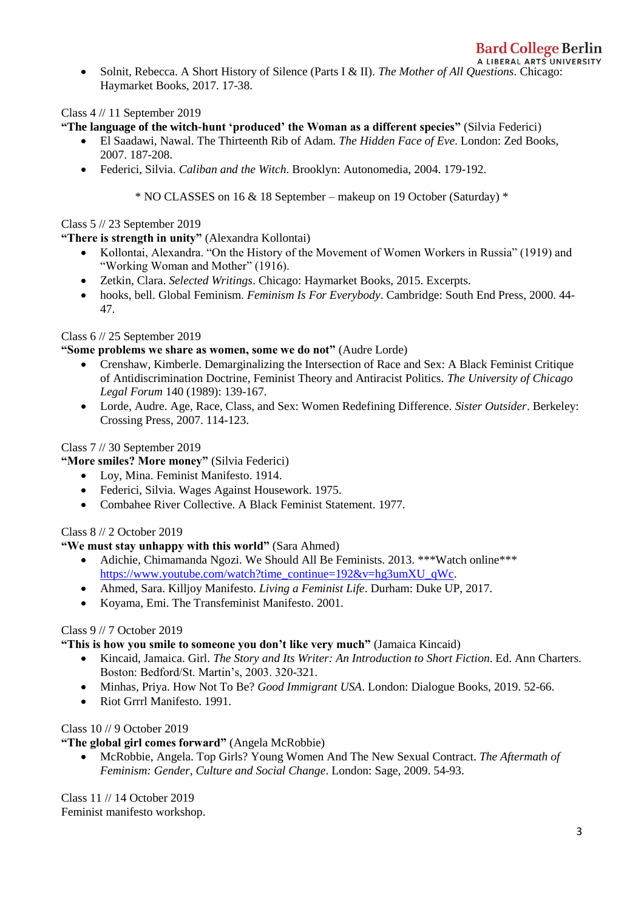A LIBERAL ARTS UNIVERSITY Solnit, Rebecca. A Short History of Silence (Parts I & II). *The Mother of All Questions*. Chicago: Haymarket Books, 2017. 17-38.

Class 4 // 11 September 2019

**"The language of the witch-hunt 'produced' the Woman as a different species"** (Silvia Federici)

- El Saadawi, Nawal. The Thirteenth Rib of Adam. *The Hidden Face of Eve*. London: Zed Books, 2007. 187-208.
- Federici, Silvia. *Caliban and the Witch*. Brooklyn: Autonomedia, 2004. 179-192.

\* NO CLASSES on 16 & 18 September – makeup on 19 October (Saturday) \*

## Class 5 // 23 September 2019

# **"There is strength in unity"** (Alexandra Kollontai)

- Kollontai, Alexandra. "On the History of the Movement of Women Workers in Russia" (1919) and "Working Woman and Mother" (1916).
- Zetkin, Clara. *Selected Writings*. Chicago: Haymarket Books, 2015. Excerpts.
- hooks, bell. Global Feminism. *Feminism Is For Everybody*. Cambridge: South End Press, 2000. 44- 47.

# Class 6 // 25 September 2019

## **"Some problems we share as women, some we do not"** (Audre Lorde)

- Crenshaw, Kimberle. Demarginalizing the Intersection of Race and Sex: A Black Feminist Critique of Antidiscrimination Doctrine, Feminist Theory and Antiracist Politics. *The University of Chicago Legal Forum* 140 (1989): 139-167.
- Lorde, Audre. Age, Race, Class, and Sex: Women Redefining Difference. *Sister Outsider*. Berkeley: Crossing Press, 2007. 114-123.

# Class 7 // 30 September 2019

# **"More smiles? More money"** (Silvia Federici)

- Loy, Mina. Feminist Manifesto. 1914.
- Federici, Silvia. Wages Against Housework. 1975.
- Combahee River Collective. A Black Feminist Statement. 1977.

# Class 8 // 2 October 2019

# **"We must stay unhappy with this world"** (Sara Ahmed)

- Adichie, Chimamanda Ngozi. We Should All Be Feminists. 2013. \*\*\*Watch online\*\*\* [https://www.youtube.com/watch?time\\_continue=192&v=hg3umXU\\_qWc.](https://www.youtube.com/watch?time_continue=192&v=hg3umXU_qWc)
- Ahmed, Sara. Killjoy Manifesto. *Living a Feminist Life*. Durham: Duke UP, 2017.
- Koyama, Emi. The Transfeminist Manifesto. 2001.

# Class 9 // 7 October 2019

## **"This is how you smile to someone you don't like very much"** (Jamaica Kincaid)

- Kincaid, Jamaica. Girl. *The Story and Its Writer: An Introduction to Short Fiction*. Ed. Ann Charters. Boston: Bedford/St. Martin's, 2003. 320-321.
- Minhas, Priya. How Not To Be? *Good Immigrant USA*. London: Dialogue Books, 2019. 52-66.
- Riot Grrrl Manifesto. 1991.

## Class 10 // 9 October 2019

## **"The global girl comes forward"** (Angela McRobbie)

 McRobbie, Angela. Top Girls? Young Women And The New Sexual Contract. *The Aftermath of Feminism: Gender, Culture and Social Change*. London: Sage, 2009. 54-93.

Class 11 // 14 October 2019 Feminist manifesto workshop.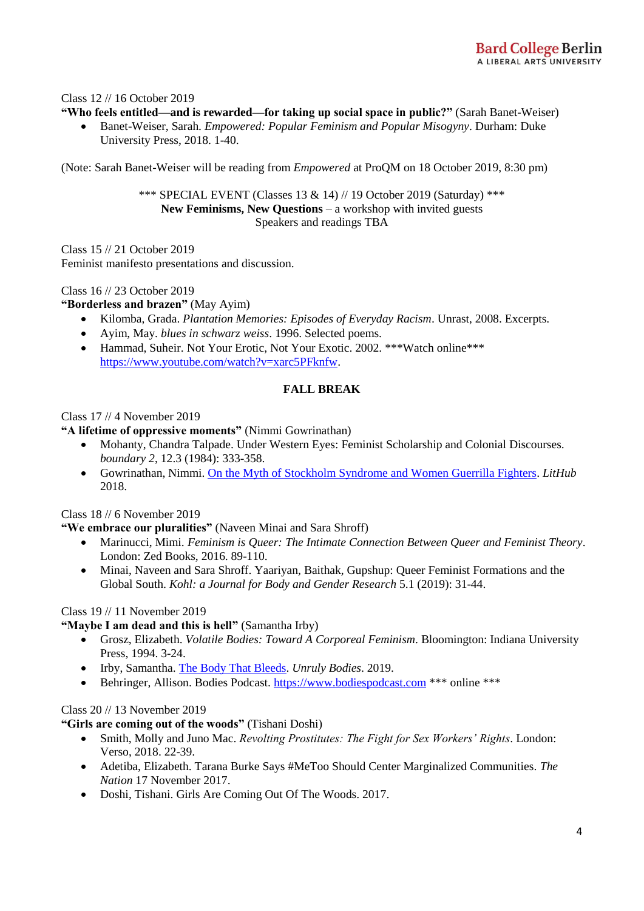#### Class 12 // 16 October 2019

#### **"Who feels entitled—and is rewarded—for taking up social space in public?"** (Sarah Banet-Weiser)

 Banet-Weiser, Sarah. *Empowered: Popular Feminism and Popular Misogyny*. Durham: Duke University Press, 2018. 1-40.

(Note: Sarah Banet-Weiser will be reading from *Empowered* at ProQM on 18 October 2019, 8:30 pm)

\*\*\* SPECIAL EVENT (Classes 13 & 14) // 19 October 2019 (Saturday) \*\*\* **New Feminisms, New Questions** – a workshop with invited guests Speakers and readings TBA

Class 15 // 21 October 2019 Feminist manifesto presentations and discussion.

Class 16 // 23 October 2019

**"Borderless and brazen"** (May Ayim)

- Kilomba, Grada. *Plantation Memories: Episodes of Everyday Racism*. Unrast, 2008. Excerpts.
- Ayim, May. *blues in schwarz weiss*. 1996. Selected poems.
- Hammad, Suheir. Not Your Erotic, Not Your Exotic. 2002. \*\*\* Watch online \*\*\* [https://www.youtube.com/watch?v=xarc5PFknfw.](https://www.youtube.com/watch?v=xarc5PFknfw)

## **FALL BREAK**

Class 17 // 4 November 2019

**"A lifetime of oppressive moments"** (Nimmi Gowrinathan)

- Mohanty, Chandra Talpade. Under Western Eyes: Feminist Scholarship and Colonial Discourses. *boundary 2*, 12.3 (1984): 333-358.
- Gowrinathan, Nimmi. [On the Myth of Stockholm Syndrome and Women Guerrilla Fighters.](https://lithub.com/on-the-myth-of-stockholm-syndrome-and-women-guerrilla-fighters/) *LitHub* 2018.

Class 18 // 6 November 2019

**"We embrace our pluralities"** (Naveen Minai and Sara Shroff)

- Marinucci, Mimi. *Feminism is Queer: The Intimate Connection Between Queer and Feminist Theory*. London: Zed Books, 2016. 89-110.
- Minai, Naveen and Sara Shroff. Yaariyan, Baithak, Gupshup: Queer Feminist Formations and the Global South. *Kohl: a Journal for Body and Gender Research* 5.1 (2019): 31-44.

#### Class 19 // 11 November 2019

**"Maybe I am dead and this is hell"** (Samantha Irby)

- Grosz, Elizabeth. *Volatile Bodies: Toward A Corporeal Feminism*. Bloomington: Indiana University Press, 1994. 3-24.
- Irby, Samantha. [The Body That Bleeds.](https://gay.medium.com/the-body-that-bleeds-ce3cbaa6903a) *Unruly Bodies*. 2019.
- Behringer, Allison. Bodies Podcast. [https://www.bodiespodcast.com](https://www.bodiespodcast.com/) \*\*\* online \*\*\*

#### Class 20 // 13 November 2019

**"Girls are coming out of the woods"** (Tishani Doshi)

- Smith, Molly and Juno Mac. *Revolting Prostitutes: The Fight for Sex Workers' Rights*. London: Verso, 2018. 22-39.
- Adetiba, Elizabeth. Tarana Burke Says #MeToo Should Center Marginalized Communities. *The Nation* 17 November 2017.
- Doshi, Tishani. Girls Are Coming Out Of The Woods. 2017.